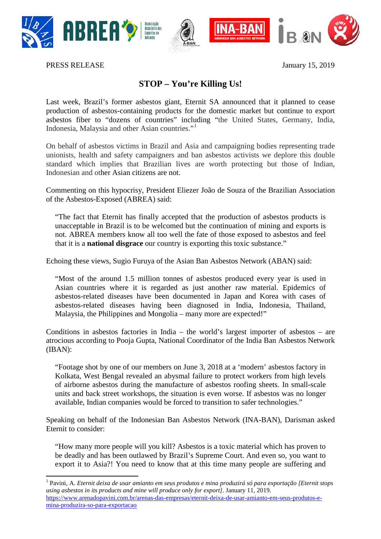





PRESS RELEASE January 15, 2019

## **STOP – You're Killing Us!**

Last week, Brazil's former asbestos giant, Eternit SA announced that it planned to cease production of asbestos-containing products for the domestic market but continue to export asbestos fiber to "dozens of countries" including "the United States, Germany, India, Indonesia, Malaysia and other Asian countries."[1](#page-0-0)

On behalf of asbestos victims in Brazil and Asia and campaigning bodies representing trade unionists, health and safety campaigners and ban asbestos activists we deplore this double standard which implies that Brazilian lives are worth protecting but those of Indian, Indonesian and other Asian citizens are not.

Commenting on this hypocrisy, President Eliezer João de Souza of the Brazilian Association of the Asbestos-Exposed (ABREA) said:

"The fact that Eternit has finally accepted that the production of asbestos products is unacceptable in Brazil is to be welcomed but the continuation of mining and exports is not. ABREA members know all too well the fate of those exposed to asbestos and feel that it is a **national disgrace** our country is exporting this toxic substance."

Echoing these views, Sugio Furuya of the Asian Ban Asbestos Network (ABAN) said:

"Most of the around 1.5 million tonnes of asbestos produced every year is used in Asian countries where it is regarded as just another raw material. Epidemics of asbestos-related diseases have been documented in Japan and Korea with cases of asbestos-related diseases having been diagnosed in India, Indonesia, Thailand, Malaysia, the Philippines and Mongolia – many more are expected!"

Conditions in asbestos factories in India – the world's largest importer of asbestos – are atrocious according to Pooja Gupta, National Coordinator of the India Ban Asbestos Network (IBAN):

"Footage shot by one of our members on June 3, 2018 at a 'modern' asbestos factory in Kolkata, West Bengal revealed an abysmal failure to protect workers from high levels of airborne asbestos during the manufacture of asbestos roofing sheets. In small-scale units and back street workshops, the situation is even worse. If asbestos was no longer available, Indian companies would be forced to transition to safer technologies."

Speaking on behalf of the Indonesian Ban Asbestos Network (INA-BAN), Darisman asked Eternit to consider:

"How many more people will you kill? Asbestos is a toxic material which has proven to be deadly and has been outlawed by Brazil's Supreme Court. And even so, you want to export it to Asia?! You need to know that at this time many people are suffering and

<span id="page-0-0"></span> <sup>1</sup> Pavini, A. *Eternit deixa de usar amianto em seus produtos e mina produzirá só para exportação [Eternit stops using asbestos in its products and mine will produce only for export]*. January 11, 2019. [https://www.arenadopavini.com.br/arenas-das-empresas/eternit-deixa-de-usar-amianto-em-seus-produtos-e](https://www.arenadopavini.com.br/arenas-das-empresas/eternit-deixa-de-usar-amianto-em-seus-produtos-e-mina-produzira-so-para-exportacao)[mina-produzira-so-para-exportacao](https://www.arenadopavini.com.br/arenas-das-empresas/eternit-deixa-de-usar-amianto-em-seus-produtos-e-mina-produzira-so-para-exportacao)